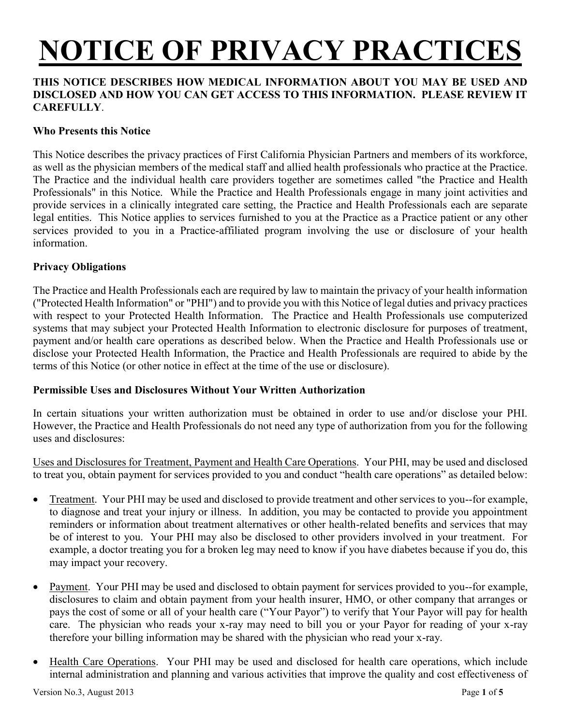# **NOTICE OF PRIVACY PRACTICES**

### **THIS NOTICE DESCRIBES HOW MEDICAL INFORMATION ABOUT YOU MAY BE USED AND DISCLOSED AND HOW YOU CAN GET ACCESS TO THIS INFORMATION. PLEASE REVIEW IT CAREFULLY**.

### **Who Presents this Notice**

This Notice describes the privacy practices of First California Physician Partners and members of its workforce, as well as the physician members of the medical staff and allied health professionals who practice at the Practice. The Practice and the individual health care providers together are sometimes called "the Practice and Health Professionals" in this Notice. While the Practice and Health Professionals engage in many joint activities and provide services in a clinically integrated care setting, the Practice and Health Professionals each are separate legal entities. This Notice applies to services furnished to you at the Practice as a Practice patient or any other services provided to you in a Practice-affiliated program involving the use or disclosure of your health information.

#### **Privacy Obligations**

The Practice and Health Professionals each are required by law to maintain the privacy of your health information ("Protected Health Information" or "PHI") and to provide you with this Notice of legal duties and privacy practices with respect to your Protected Health Information. The Practice and Health Professionals use computerized systems that may subject your Protected Health Information to electronic disclosure for purposes of treatment, payment and/or health care operations as described below. When the Practice and Health Professionals use or disclose your Protected Health Information, the Practice and Health Professionals are required to abide by the terms of this Notice (or other notice in effect at the time of the use or disclosure).

#### **Permissible Uses and Disclosures Without Your Written Authorization**

In certain situations your written authorization must be obtained in order to use and/or disclose your PHI. However, the Practice and Health Professionals do not need any type of authorization from you for the following uses and disclosures:

Uses and Disclosures for Treatment, Payment and Health Care Operations. Your PHI, may be used and disclosed to treat you, obtain payment for services provided to you and conduct "health care operations" as detailed below:

- Treatment. Your PHI may be used and disclosed to provide treatment and other services to you--for example, to diagnose and treat your injury or illness. In addition, you may be contacted to provide you appointment reminders or information about treatment alternatives or other health-related benefits and services that may be of interest to you. Your PHI may also be disclosed to other providers involved in your treatment. For example, a doctor treating you for a broken leg may need to know if you have diabetes because if you do, this may impact your recovery.
- Payment. Your PHI may be used and disclosed to obtain payment for services provided to you--for example, disclosures to claim and obtain payment from your health insurer, HMO, or other company that arranges or pays the cost of some or all of your health care ("Your Payor") to verify that Your Payor will pay for health care. The physician who reads your x-ray may need to bill you or your Payor for reading of your x-ray therefore your billing information may be shared with the physician who read your x-ray.
- Health Care Operations. Your PHI may be used and disclosed for health care operations, which include internal administration and planning and various activities that improve the quality and cost effectiveness of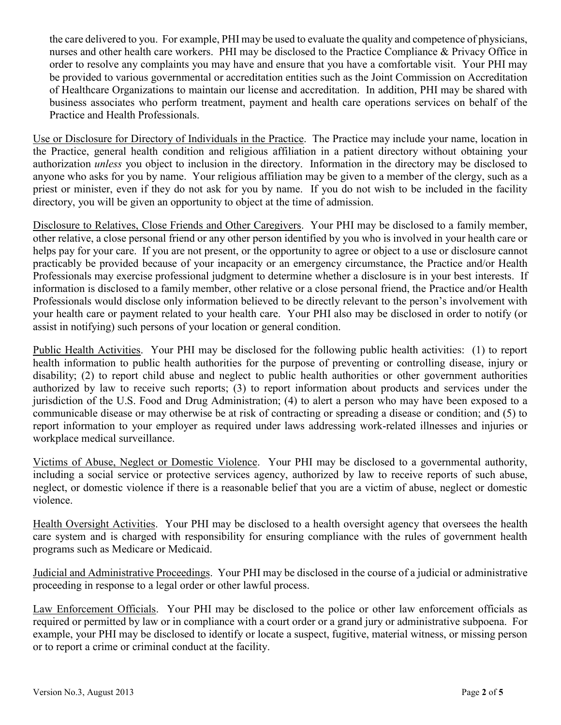the care delivered to you. For example, PHI may be used to evaluate the quality and competence of physicians, nurses and other health care workers. PHI may be disclosed to the Practice Compliance & Privacy Office in order to resolve any complaints you may have and ensure that you have a comfortable visit. Your PHI may be provided to various governmental or accreditation entities such as the Joint Commission on Accreditation of Healthcare Organizations to maintain our license and accreditation. In addition, PHI may be shared with business associates who perform treatment, payment and health care operations services on behalf of the Practice and Health Professionals.

Use or Disclosure for Directory of Individuals in the Practice. The Practice may include your name, location in the Practice, general health condition and religious affiliation in a patient directory without obtaining your authorization *unless* you object to inclusion in the directory. Information in the directory may be disclosed to anyone who asks for you by name. Your religious affiliation may be given to a member of the clergy, such as a priest or minister, even if they do not ask for you by name. If you do not wish to be included in the facility directory, you will be given an opportunity to object at the time of admission.

Disclosure to Relatives, Close Friends and Other Caregivers. Your PHI may be disclosed to a family member, other relative, a close personal friend or any other person identified by you who is involved in your health care or helps pay for your care. If you are not present, or the opportunity to agree or object to a use or disclosure cannot practicably be provided because of your incapacity or an emergency circumstance, the Practice and/or Health Professionals may exercise professional judgment to determine whether a disclosure is in your best interests. If information is disclosed to a family member, other relative or a close personal friend, the Practice and/or Health Professionals would disclose only information believed to be directly relevant to the person's involvement with your health care or payment related to your health care. Your PHI also may be disclosed in order to notify (or assist in notifying) such persons of your location or general condition.

Public Health Activities. Your PHI may be disclosed for the following public health activities: (1) to report health information to public health authorities for the purpose of preventing or controlling disease, injury or disability; (2) to report child abuse and neglect to public health authorities or other government authorities authorized by law to receive such reports; (3) to report information about products and services under the jurisdiction of the U.S. Food and Drug Administration; (4) to alert a person who may have been exposed to a communicable disease or may otherwise be at risk of contracting or spreading a disease or condition; and (5) to report information to your employer as required under laws addressing work-related illnesses and injuries or workplace medical surveillance.

Victims of Abuse, Neglect or Domestic Violence. Your PHI may be disclosed to a governmental authority, including a social service or protective services agency, authorized by law to receive reports of such abuse, neglect, or domestic violence if there is a reasonable belief that you are a victim of abuse, neglect or domestic violence.

Health Oversight Activities. Your PHI may be disclosed to a health oversight agency that oversees the health care system and is charged with responsibility for ensuring compliance with the rules of government health programs such as Medicare or Medicaid.

Judicial and Administrative Proceedings. Your PHI may be disclosed in the course of a judicial or administrative proceeding in response to a legal order or other lawful process.

Law Enforcement Officials. Your PHI may be disclosed to the police or other law enforcement officials as required or permitted by law or in compliance with a court order or a grand jury or administrative subpoena. For example, your PHI may be disclosed to identify or locate a suspect, fugitive, material witness, or missing person or to report a crime or criminal conduct at the facility.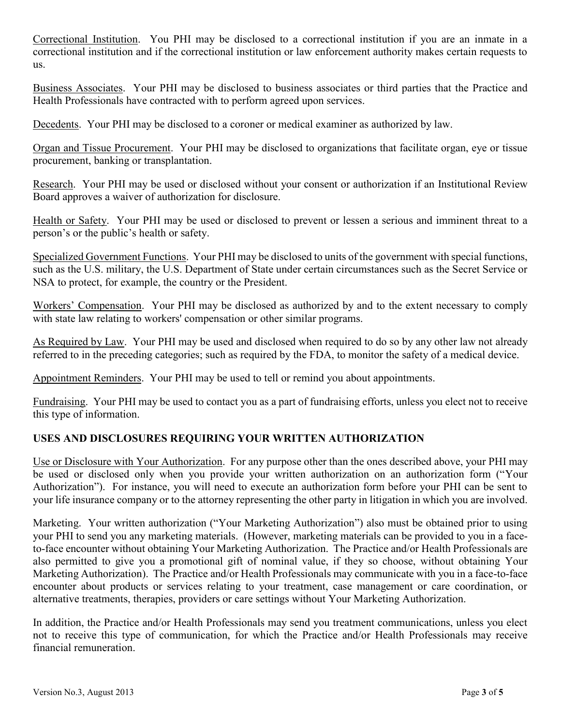Correctional Institution. You PHI may be disclosed to a correctional institution if you are an inmate in a correctional institution and if the correctional institution or law enforcement authority makes certain requests to us.

Business Associates. Your PHI may be disclosed to business associates or third parties that the Practice and Health Professionals have contracted with to perform agreed upon services.

Decedents. Your PHI may be disclosed to a coroner or medical examiner as authorized by law.

Organ and Tissue Procurement. Your PHI may be disclosed to organizations that facilitate organ, eye or tissue procurement, banking or transplantation.

Research. Your PHI may be used or disclosed without your consent or authorization if an Institutional Review Board approves a waiver of authorization for disclosure.

Health or Safety. Your PHI may be used or disclosed to prevent or lessen a serious and imminent threat to a person's or the public's health or safety.

Specialized Government Functions. Your PHI may be disclosed to units of the government with special functions, such as the U.S. military, the U.S. Department of State under certain circumstances such as the Secret Service or NSA to protect, for example, the country or the President.

Workers' Compensation. Your PHI may be disclosed as authorized by and to the extent necessary to comply with state law relating to workers' compensation or other similar programs.

As Required by Law. Your PHI may be used and disclosed when required to do so by any other law not already referred to in the preceding categories; such as required by the FDA, to monitor the safety of a medical device.

Appointment Reminders. Your PHI may be used to tell or remind you about appointments.

Fundraising. Your PHI may be used to contact you as a part of fundraising efforts, unless you elect not to receive this type of information.

## **USES AND DISCLOSURES REQUIRING YOUR WRITTEN AUTHORIZATION**

Use or Disclosure with Your Authorization. For any purpose other than the ones described above, your PHI may be used or disclosed only when you provide your written authorization on an authorization form ("Your Authorization"). For instance, you will need to execute an authorization form before your PHI can be sent to your life insurance company or to the attorney representing the other party in litigation in which you are involved.

Marketing. Your written authorization ("Your Marketing Authorization") also must be obtained prior to using your PHI to send you any marketing materials. (However, marketing materials can be provided to you in a faceto-face encounter without obtaining Your Marketing Authorization. The Practice and/or Health Professionals are also permitted to give you a promotional gift of nominal value, if they so choose, without obtaining Your Marketing Authorization). The Practice and/or Health Professionals may communicate with you in a face-to-face encounter about products or services relating to your treatment, case management or care coordination, or alternative treatments, therapies, providers or care settings without Your Marketing Authorization.

In addition, the Practice and/or Health Professionals may send you treatment communications, unless you elect not to receive this type of communication, for which the Practice and/or Health Professionals may receive financial remuneration.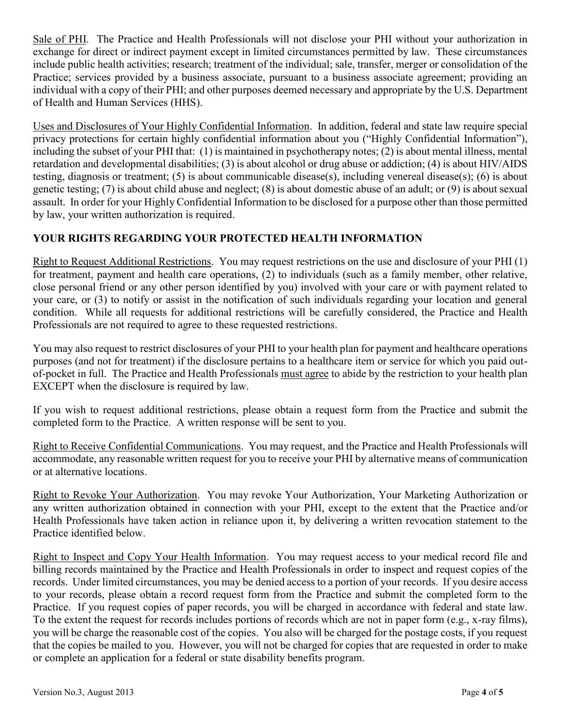Sale of PHI. The Practice and Health Professionals will not disclose your PHI without your authorization in exchange for direct or indirect payment except in limited circumstances permitted by law. These circumstances include public health activities; research; treatment of the individual; sale, transfer, merger or consolidation of the Practice; services provided by a business associate, pursuant to a business associate agreement; providing an individual with a copy of their PHI; and other purposes deemed necessary and appropriate by the U.S. Department of Health and Human Services (HHS).

Uses and Disclosures of Your Highly Confidential Information. In addition, federal and state law require special privacy protections for certain highly confidential information about you ("Highly Confidential Information"), including the subset of your PHI that: (1) is maintained in psychotherapy notes; (2) is about mental illness, mental retardation and developmental disabilities; (3) is about alcohol or drug abuse or addiction; (4) is about HIV/AIDS testing, diagnosis or treatment; (5) is about communicable disease(s), including venereal disease(s); (6) is about genetic testing; (7) is about child abuse and neglect; (8) is about domestic abuse of an adult; or (9) is about sexual assault.In order for your Highly Confidential Information to be disclosed for a purpose other than those permitted by law, your written authorization is required.

## **YOUR RIGHTS REGARDING YOUR PROTECTED HEALTH INFORMATION**

Right to Request Additional Restrictions. You may request restrictions on the use and disclosure of your PHI (1) for treatment, payment and health care operations, (2) to individuals (such as a family member, other relative, close personal friend or any other person identified by you) involved with your care or with payment related to your care, or (3) to notify or assist in the notification of such individuals regarding your location and general condition. While all requests for additional restrictions will be carefully considered, the Practice and Health Professionals are not required to agree to these requested restrictions.

You may also request to restrict disclosures of your PHI to your health plan for payment and healthcare operations purposes (and not for treatment) if the disclosure pertains to a healthcare item or service for which you paid outof-pocket in full. The Practice and Health Professionals must agree to abide by the restriction to your health plan EXCEPT when the disclosure is required by law.

If you wish to request additional restrictions, please obtain a request form from the Practice and submit the completed form to the Practice. A written response will be sent to you.

Right to Receive Confidential Communications. You may request, and the Practice and Health Professionals will accommodate, any reasonable written request for you to receive your PHI by alternative means of communication or at alternative locations.

Right to Revoke Your Authorization. You may revoke Your Authorization, Your Marketing Authorization or any written authorization obtained in connection with your PHI, except to the extent that the Practice and/or Health Professionals have taken action in reliance upon it, by delivering a written revocation statement to the Practice identified below.

Right to Inspect and Copy Your Health Information. You may request access to your medical record file and billing records maintained by the Practice and Health Professionals in order to inspect and request copies of the records. Under limited circumstances, you may be denied access to a portion of your records. If you desire access to your records, please obtain a record request form from the Practice and submit the completed form to the Practice. If you request copies of paper records, you will be charged in accordance with federal and state law. To the extent the request for records includes portions of records which are not in paper form (e.g., x-ray films), you will be charge the reasonable cost of the copies. You also will be charged for the postage costs, if you request that the copies be mailed to you. However, you will not be charged for copies that are requested in order to make or complete an application for a federal or state disability benefits program.